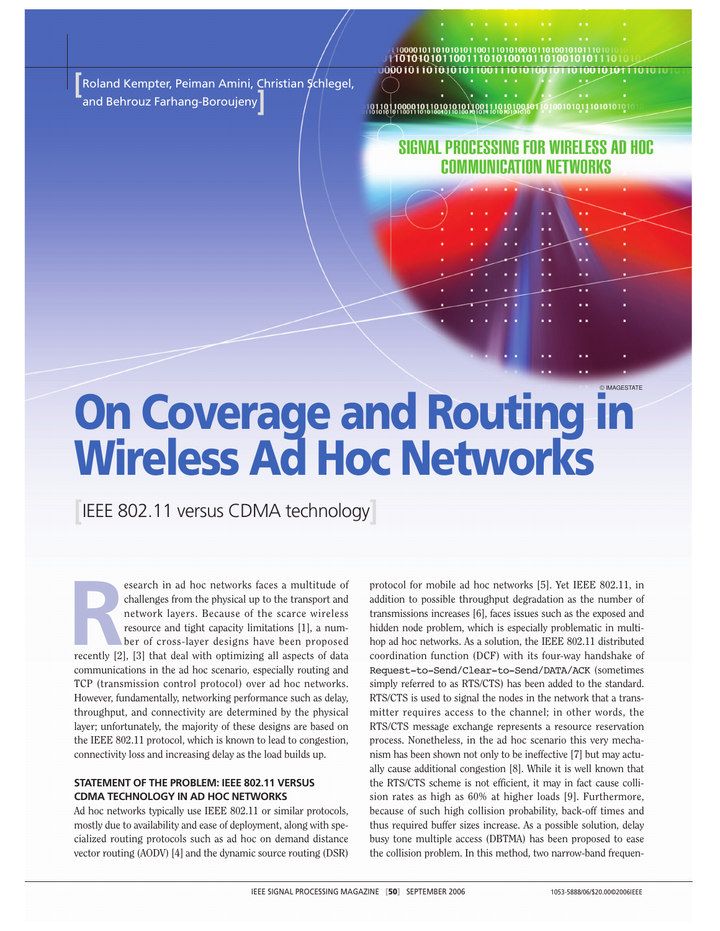**[**Roland Kempter, Peiman Amini, Christian Schlegel, and Behrouz Farhang-Boroujeny**]**

101010101100111010100 00001011010101011001

## SIGNAL PROCESSING FOR WIRELESS AD HOC COMMUNICATION NETWORKS

# © IMAGESTATE **On Coverage and Routing in Wireless Ad Hoc Networks**

**[**IEEE 802.11 versus CDMA technology**]**

esearch in ad hoc networks faces a multitude of<br>
challenges from the physical up to the transport and<br>
network layers. Because of the scarce wireless<br>
resource and tight capacity limitations [1], a num-<br>
ber of cross-layer esearch in ad hoc networks faces a multitude of challenges from the physical up to the transport and network layers. Because of the scarce wireless resource and tight capacity limitations [1], a number of cross-layer designs have been proposed communications in the ad hoc scenario, especially routing and TCP (transmission control protocol) over ad hoc networks. However, fundamentally, networking performance such as delay, throughput, and connectivity are determined by the physical layer; unfortunately, the majority of these designs are based on the IEEE 802.11 protocol, which is known to lead to congestion, connectivity loss and increasing delay as the load builds up.

## **STATEMENT OF THE PROBLEM: IEEE 802.11 VERSUS CDMA TECHNOLOGY IN AD HOC NETWORKS**

Ad hoc networks typically use IEEE 802.11 or similar protocols, mostly due to availability and ease of deployment, along with specialized routing protocols such as ad hoc on demand distance vector routing (AODV) [4] and the dynamic source routing (DSR) protocol for mobile ad hoc networks [5]. Yet IEEE 802.11, in addition to possible throughput degradation as the number of transmissions increases [6], faces issues such as the exposed and hidden node problem, which is especially problematic in multihop ad hoc networks. As a solution, the IEEE 802.11 distributed coordination function (DCF) with its four-way handshake of Request-to-Send/Clear-to-Send/DATA/ACK (sometimes simply referred to as RTS/CTS) has been added to the standard. RTS/CTS is used to signal the nodes in the network that a transmitter requires access to the channel; in other words, the RTS/CTS message exchange represents a resource reservation process. Nonetheless, in the ad hoc scenario this very mechanism has been shown not only to be ineffective [7] but may actually cause additional congestion [8]. While it is well known that the RTS/CTS scheme is not efficient, it may in fact cause collision rates as high as 60% at higher loads [9]. Furthermore, because of such high collision probability, back-off times and thus required buffer sizes increase. As a possible solution, delay busy tone multiple access (DBTMA) has been proposed to ease the collision problem. In this method, two narrow-band frequen-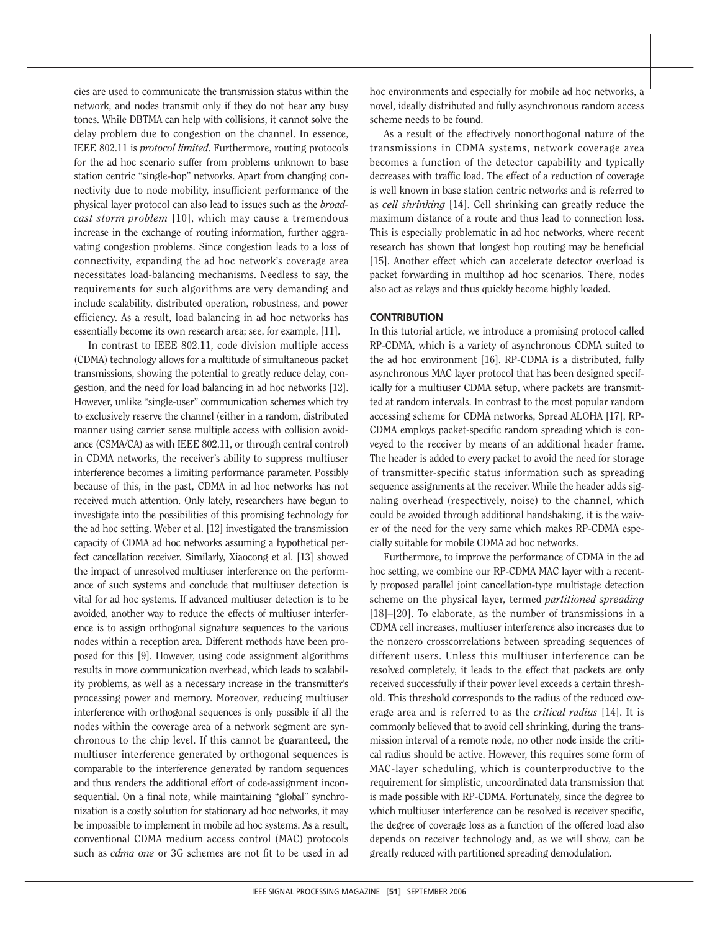cies are used to communicate the transmission status within the network, and nodes transmit only if they do not hear any busy tones. While DBTMA can help with collisions, it cannot solve the delay problem due to congestion on the channel. In essence, IEEE 802.11 is *protocol limited*. Furthermore, routing protocols for the ad hoc scenario suffer from problems unknown to base station centric "single-hop" networks. Apart from changing connectivity due to node mobility, insufficient performance of the physical layer protocol can also lead to issues such as the *broadcast storm problem* [10], which may cause a tremendous increase in the exchange of routing information, further aggravating congestion problems. Since congestion leads to a loss of connectivity, expanding the ad hoc network's coverage area necessitates load-balancing mechanisms. Needless to say, the requirements for such algorithms are very demanding and include scalability, distributed operation, robustness, and power efficiency. As a result, load balancing in ad hoc networks has essentially become its own research area; see, for example, [11].

In contrast to IEEE 802.11, code division multiple access (CDMA) technology allows for a multitude of simultaneous packet transmissions, showing the potential to greatly reduce delay, congestion, and the need for load balancing in ad hoc networks [12]. However, unlike "single-user" communication schemes which try to exclusively reserve the channel (either in a random, distributed manner using carrier sense multiple access with collision avoidance (CSMA/CA) as with IEEE 802.11, or through central control) in CDMA networks, the receiver's ability to suppress multiuser interference becomes a limiting performance parameter. Possibly because of this, in the past, CDMA in ad hoc networks has not received much attention. Only lately, researchers have begun to investigate into the possibilities of this promising technology for the ad hoc setting. Weber et al. [12] investigated the transmission capacity of CDMA ad hoc networks assuming a hypothetical perfect cancellation receiver. Similarly, Xiaocong et al. [13] showed the impact of unresolved multiuser interference on the performance of such systems and conclude that multiuser detection is vital for ad hoc systems. If advanced multiuser detection is to be avoided, another way to reduce the effects of multiuser interference is to assign orthogonal signature sequences to the various nodes within a reception area. Different methods have been proposed for this [9]. However, using code assignment algorithms results in more communication overhead, which leads to scalability problems, as well as a necessary increase in the transmitter's processing power and memory. Moreover, reducing multiuser interference with orthogonal sequences is only possible if all the nodes within the coverage area of a network segment are synchronous to the chip level. If this cannot be guaranteed, the multiuser interference generated by orthogonal sequences is comparable to the interference generated by random sequences and thus renders the additional effort of code-assignment inconsequential. On a final note, while maintaining "global" synchronization is a costly solution for stationary ad hoc networks, it may be impossible to implement in mobile ad hoc systems. As a result, conventional CDMA medium access control (MAC) protocols such as *cdma one* or 3G schemes are not fit to be used in ad

hoc environments and especially for mobile ad hoc networks, a novel, ideally distributed and fully asynchronous random access scheme needs to be found.

As a result of the effectively nonorthogonal nature of the transmissions in CDMA systems, network coverage area becomes a function of the detector capability and typically decreases with traffic load. The effect of a reduction of coverage is well known in base station centric networks and is referred to as *cell shrinking* [14]. Cell shrinking can greatly reduce the maximum distance of a route and thus lead to connection loss. This is especially problematic in ad hoc networks, where recent research has shown that longest hop routing may be beneficial [15]. Another effect which can accelerate detector overload is packet forwarding in multihop ad hoc scenarios. There, nodes also act as relays and thus quickly become highly loaded.

## **CONTRIBUTION**

In this tutorial article, we introduce a promising protocol called RP-CDMA, which is a variety of asynchronous CDMA suited to the ad hoc environment [16]. RP-CDMA is a distributed, fully asynchronous MAC layer protocol that has been designed specifically for a multiuser CDMA setup, where packets are transmitted at random intervals. In contrast to the most popular random accessing scheme for CDMA networks, Spread ALOHA [17], RP-CDMA employs packet-specific random spreading which is conveyed to the receiver by means of an additional header frame. The header is added to every packet to avoid the need for storage of transmitter-specific status information such as spreading sequence assignments at the receiver. While the header adds signaling overhead (respectively, noise) to the channel, which could be avoided through additional handshaking, it is the waiver of the need for the very same which makes RP-CDMA especially suitable for mobile CDMA ad hoc networks.

Furthermore, to improve the performance of CDMA in the ad hoc setting, we combine our RP-CDMA MAC layer with a recently proposed parallel joint cancellation-type multistage detection scheme on the physical layer, termed *partitioned spreading* [18]–[20]. To elaborate, as the number of transmissions in a CDMA cell increases, multiuser interference also increases due to the nonzero crosscorrelations between spreading sequences of different users. Unless this multiuser interference can be resolved completely, it leads to the effect that packets are only received successfully if their power level exceeds a certain threshold. This threshold corresponds to the radius of the reduced coverage area and is referred to as the *critical radius* [14]. It is commonly believed that to avoid cell shrinking, during the transmission interval of a remote node, no other node inside the critical radius should be active. However, this requires some form of MAC-layer scheduling, which is counterproductive to the requirement for simplistic, uncoordinated data transmission that is made possible with RP-CDMA. Fortunately, since the degree to which multiuser interference can be resolved is receiver specific, the degree of coverage loss as a function of the offered load also depends on receiver technology and, as we will show, can be greatly reduced with partitioned spreading demodulation.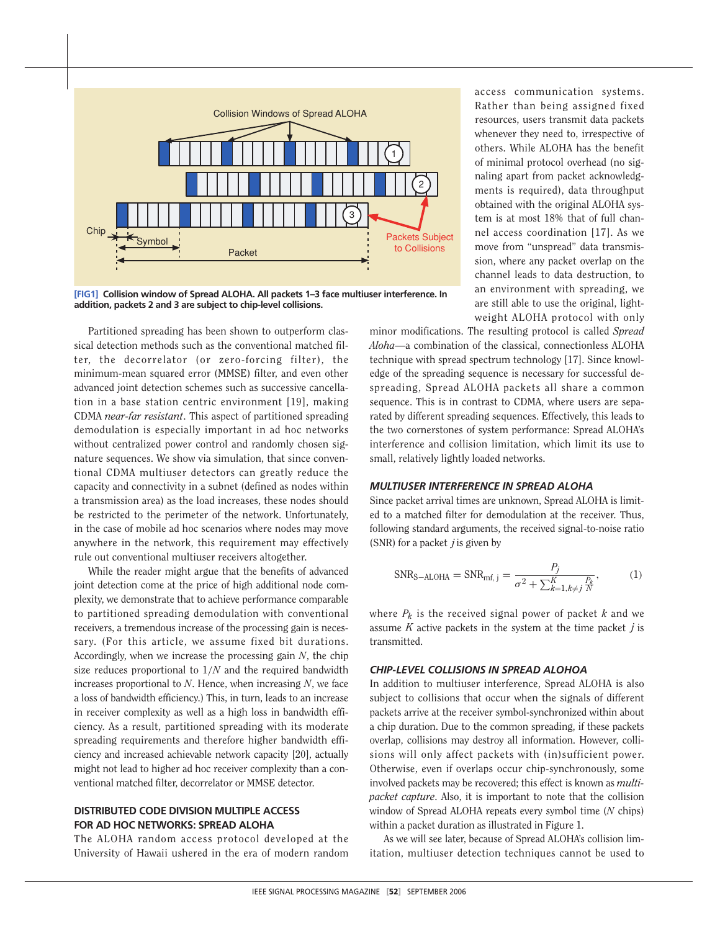

**[FIG1] Collision window of Spread ALOHA. All packets 1–3 face multiuser interference. In addition, packets 2 and 3 are subject to chip-level collisions.**

Partitioned spreading has been shown to outperform classical detection methods such as the conventional matched filter, the decorrelator (or zero-forcing filter), the minimum-mean squared error (MMSE) filter, and even other advanced joint detection schemes such as successive cancellation in a base station centric environment [19], making CDMA *near-far resistant*. This aspect of partitioned spreading demodulation is especially important in ad hoc networks without centralized power control and randomly chosen signature sequences. We show via simulation, that since conventional CDMA multiuser detectors can greatly reduce the capacity and connectivity in a subnet (defined as nodes within a transmission area) as the load increases, these nodes should be restricted to the perimeter of the network. Unfortunately, in the case of mobile ad hoc scenarios where nodes may move anywhere in the network, this requirement may effectively rule out conventional multiuser receivers altogether.

While the reader might argue that the benefits of advanced joint detection come at the price of high additional node complexity, we demonstrate that to achieve performance comparable to partitioned spreading demodulation with conventional receivers, a tremendous increase of the processing gain is necessary. (For this article, we assume fixed bit durations. Accordingly, when we increase the processing gain *N*, the chip size reduces proportional to 1/*N* and the required bandwidth increases proportional to *N*. Hence, when increasing *N*, we face a loss of bandwidth efficiency.) This, in turn, leads to an increase in receiver complexity as well as a high loss in bandwidth efficiency. As a result, partitioned spreading with its moderate spreading requirements and therefore higher bandwidth efficiency and increased achievable network capacity [20], actually might not lead to higher ad hoc receiver complexity than a conventional matched filter, decorrelator or MMSE detector.

## **DISTRIBUTED CODE DIVISION MULTIPLE ACCESS FOR AD HOC NETWORKS: SPREAD ALOHA**

The ALOHA random access protocol developed at the University of Hawaii ushered in the era of modern random access communication systems. Rather than being assigned fixed resources, users transmit data packets whenever they need to, irrespective of others. While ALOHA has the benefit of minimal protocol overhead (no signaling apart from packet acknowledgments is required), data throughput obtained with the original ALOHA system is at most 18% that of full channel access coordination [17]. As we move from "unspread" data transmission, where any packet overlap on the channel leads to data destruction, to an environment with spreading, we are still able to use the original, lightweight ALOHA protocol with only

minor modifications. The resulting protocol is called *Spread Aloha*—a combination of the classical, connectionless ALOHA technique with spread spectrum technology [17]. Since knowledge of the spreading sequence is necessary for successful despreading, Spread ALOHA packets all share a common sequence. This is in contrast to CDMA, where users are separated by different spreading sequences. Effectively, this leads to the two cornerstones of system performance: Spread ALOHA's interference and collision limitation, which limit its use to small, relatively lightly loaded networks.

## *MULTIUSER INTERFERENCE IN SPREAD ALOHA*

Since packet arrival times are unknown, Spread ALOHA is limited to a matched filter for demodulation at the receiver. Thus, following standard arguments, the received signal-to-noise ratio (SNR) for a packet *j* is given by

$$
SNR_{S-ALOHA} = SNR_{mf,j} = \frac{P_j}{\sigma^2 + \sum_{k=1, k \neq j}^{K} \frac{P_k}{N}},\tag{1}
$$

where  $P_k$  is the received signal power of packet  $k$  and we assume *K* active packets in the system at the time packet *j* is transmitted.

## *CHIP-LEVEL COLLISIONS IN SPREAD ALOHOA*

In addition to multiuser interference, Spread ALOHA is also subject to collisions that occur when the signals of different packets arrive at the receiver symbol-synchronized within about a chip duration. Due to the common spreading, if these packets overlap, collisions may destroy all information. However, collisions will only affect packets with (in)sufficient power. Otherwise, even if overlaps occur chip-synchronously, some involved packets may be recovered; this effect is known as *multipacket capture*. Also, it is important to note that the collision window of Spread ALOHA repeats every symbol time (*N* chips) within a packet duration as illustrated in Figure 1.

As we will see later, because of Spread ALOHA's collision limitation, multiuser detection techniques cannot be used to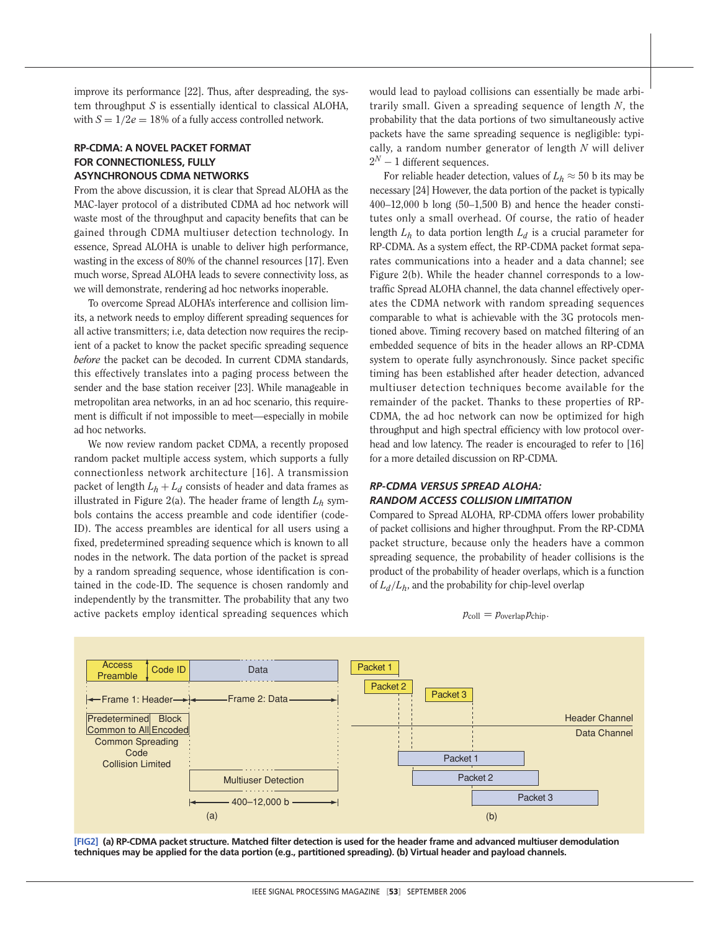improve its performance [22]. Thus, after despreading, the system throughput *S* is essentially identical to classical ALOHA, with  $S = 1/2e = 18\%$  of a fully access controlled network.

## **RP-CDMA: A NOVEL PACKET FORMAT FOR CONNECTIONLESS, FULLY ASYNCHRONOUS CDMA NETWORKS**

From the above discussion, it is clear that Spread ALOHA as the MAC-layer protocol of a distributed CDMA ad hoc network will waste most of the throughput and capacity benefits that can be gained through CDMA multiuser detection technology. In essence, Spread ALOHA is unable to deliver high performance, wasting in the excess of 80% of the channel resources [17]. Even much worse, Spread ALOHA leads to severe connectivity loss, as we will demonstrate, rendering ad hoc networks inoperable.

To overcome Spread ALOHA's interference and collision limits, a network needs to employ different spreading sequences for all active transmitters; i.e, data detection now requires the recipient of a packet to know the packet specific spreading sequence *before* the packet can be decoded. In current CDMA standards, this effectively translates into a paging process between the sender and the base station receiver [23]. While manageable in metropolitan area networks, in an ad hoc scenario, this requirement is difficult if not impossible to meet—especially in mobile ad hoc networks.

We now review random packet CDMA, a recently proposed random packet multiple access system, which supports a fully connectionless network architecture [16]. A transmission packet of length  $L_h + L_d$  consists of header and data frames as illustrated in Figure 2(a). The header frame of length  $L_h$  symbols contains the access preamble and code identifier (code-ID). The access preambles are identical for all users using a fixed, predetermined spreading sequence which is known to all nodes in the network. The data portion of the packet is spread by a random spreading sequence, whose identification is contained in the code-ID. The sequence is chosen randomly and independently by the transmitter. The probability that any two active packets employ identical spreading sequences which would lead to payload collisions can essentially be made arbitrarily small. Given a spreading sequence of length *N*, the probability that the data portions of two simultaneously active packets have the same spreading sequence is negligible: typically, a random number generator of length *N* will deliver  $2^N - 1$  different sequences.

For reliable header detection, values of  $L_h \approx 50$  b its may be necessary [24] However, the data portion of the packet is typically  $400-12,000$  b long  $(50-1,500)$  B) and hence the header constitutes only a small overhead. Of course, the ratio of header length  $L_h$  to data portion length  $L_d$  is a crucial parameter for RP-CDMA. As a system effect, the RP-CDMA packet format separates communications into a header and a data channel; see Figure 2(b). While the header channel corresponds to a lowtraffic Spread ALOHA channel, the data channel effectively operates the CDMA network with random spreading sequences comparable to what is achievable with the 3G protocols mentioned above. Timing recovery based on matched filtering of an embedded sequence of bits in the header allows an RP-CDMA system to operate fully asynchronously. Since packet specific timing has been established after header detection, advanced multiuser detection techniques become available for the remainder of the packet. Thanks to these properties of RP-CDMA, the ad hoc network can now be optimized for high throughput and high spectral efficiency with low protocol overhead and low latency. The reader is encouraged to refer to [16] for a more detailed discussion on RP-CDMA.

## *RP-CDMA VERSUS SPREAD ALOHA: RANDOM ACCESS COLLISION LIMITATION*

Compared to Spread ALOHA, RP-CDMA offers lower probability of packet collisions and higher throughput. From the RP-CDMA packet structure, because only the headers have a common spreading sequence, the probability of header collisions is the product of the probability of header overlaps, which is a function of *Ld*/*Lh*, and the probability for chip-level overlap

 $p_{\text{coll}} = p_{\text{overlap}} p_{\text{chip}}.$ 



**[FIG2] (a) RP-CDMA packet structure. Matched filter detection is used for the header frame and advanced multiuser demodulation techniques may be applied for the data portion (e.g., partitioned spreading). (b) Virtual header and payload channels.**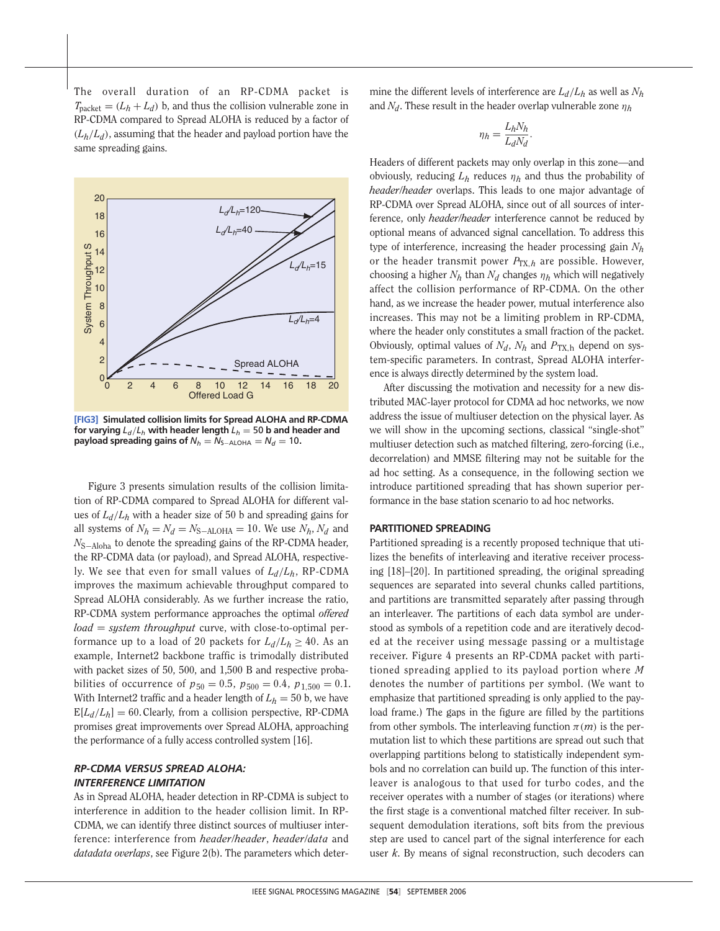The overall duration of an RP-CDMA packet is  $T_{\text{packet}} = (L_h + L_d)$  b, and thus the collision vulnerable zone in RP-CDMA compared to Spread ALOHA is reduced by a factor of  $(L_h/L_d)$ , assuming that the header and payload portion have the same spreading gains.



**[FIG3] Simulated collision limits for Spread ALOHA and RP-CDMA for varying**  $L_d/L_h$  with header length  $L_h = 50$  b and header and **payload spreading gains of**  $N_h = N_{S-ALOHA} = N_d = 10$ .

Figure 3 presents simulation results of the collision limitation of RP-CDMA compared to Spread ALOHA for different values of *Ld*/*Lh* with a header size of 50 b and spreading gains for all systems of  $N_h = N_d = N_{S-ALOHA} = 10$ . We use  $N_h$ ,  $N_d$  and *N*<sub>S−Aloha</sub> to denote the spreading gains of the RP-CDMA header, the RP-CDMA data (or payload), and Spread ALOHA, respectively. We see that even for small values of *Ld*/*Lh*, RP-CDMA improves the maximum achievable throughput compared to Spread ALOHA considerably. As we further increase the ratio, RP-CDMA system performance approaches the optimal *offered load* = *system throughput* curve, with close-to-optimal performance up to a load of 20 packets for  $L_d/L_h \geq 40$ . As an example, Internet2 backbone traffic is trimodally distributed with packet sizes of 50, 500, and 1,500 B and respective probabilities of occurrence of  $p_{50} = 0.5$ ,  $p_{500} = 0.4$ ,  $p_{1,500} = 0.1$ . With Internet2 traffic and a header length of  $L_h = 50$  b, we have  $E[L_d/L_h] = 60$ . Clearly, from a collision perspective, RP-CDMA promises great improvements over Spread ALOHA, approaching the performance of a fully access controlled system [16].

## *RP-CDMA VERSUS SPREAD ALOHA: INTERFERENCE LIMITATION*

As in Spread ALOHA, header detection in RP-CDMA is subject to interference in addition to the header collision limit. In RP-CDMA, we can identify three distinct sources of multiuser interference: interference from *header/header*, *header/data* and *datadata overlaps*, see Figure 2(b). The parameters which determine the different levels of interference are *Ld*/*Lh* as well as *Nh* and  $N_d$ . These result in the header overlap vulnerable zone  $\eta_h$ 

$$
\eta_h = \frac{L_h N_h}{L_d N_d}.
$$

Headers of different packets may only overlap in this zone—and obviously, reducing  $L_h$  reduces  $\eta_h$  and thus the probability of *header/header* overlaps. This leads to one major advantage of RP-CDMA over Spread ALOHA, since out of all sources of interference, only *header/header* interference cannot be reduced by optional means of advanced signal cancellation. To address this type of interference, increasing the header processing gain *Nh* or the header transmit power  $P_{TX,h}$  are possible. However, choosing a higher  $N_h$  than  $N_d$  changes  $\eta_h$  which will negatively affect the collision performance of RP-CDMA. On the other hand, as we increase the header power, mutual interference also increases. This may not be a limiting problem in RP-CDMA, where the header only constitutes a small fraction of the packet. Obviously, optimal values of  $N_d$ ,  $N_h$  and  $P_{TX,h}$  depend on system-specific parameters. In contrast, Spread ALOHA interference is always directly determined by the system load.

After discussing the motivation and necessity for a new distributed MAC-layer protocol for CDMA ad hoc networks, we now address the issue of multiuser detection on the physical layer. As we will show in the upcoming sections, classical "single-shot" multiuser detection such as matched filtering, zero-forcing (i.e., decorrelation) and MMSE filtering may not be suitable for the ad hoc setting. As a consequence, in the following section we introduce partitioned spreading that has shown superior performance in the base station scenario to ad hoc networks.

## **PARTITIONED SPREADING**

Partitioned spreading is a recently proposed technique that utilizes the benefits of interleaving and iterative receiver processing [18]–[20]. In partitioned spreading, the original spreading sequences are separated into several chunks called partitions, and partitions are transmitted separately after passing through an interleaver. The partitions of each data symbol are understood as symbols of a repetition code and are iteratively decoded at the receiver using message passing or a multistage receiver. Figure 4 presents an RP-CDMA packet with partitioned spreading applied to its payload portion where *M* denotes the number of partitions per symbol. (We want to emphasize that partitioned spreading is only applied to the payload frame.) The gaps in the figure are filled by the partitions from other symbols. The interleaving function  $\pi(m)$  is the permutation list to which these partitions are spread out such that overlapping partitions belong to statistically independent symbols and no correlation can build up. The function of this interleaver is analogous to that used for turbo codes, and the receiver operates with a number of stages (or iterations) where the first stage is a conventional matched filter receiver. In subsequent demodulation iterations, soft bits from the previous step are used to cancel part of the signal interference for each user *k*. By means of signal reconstruction, such decoders can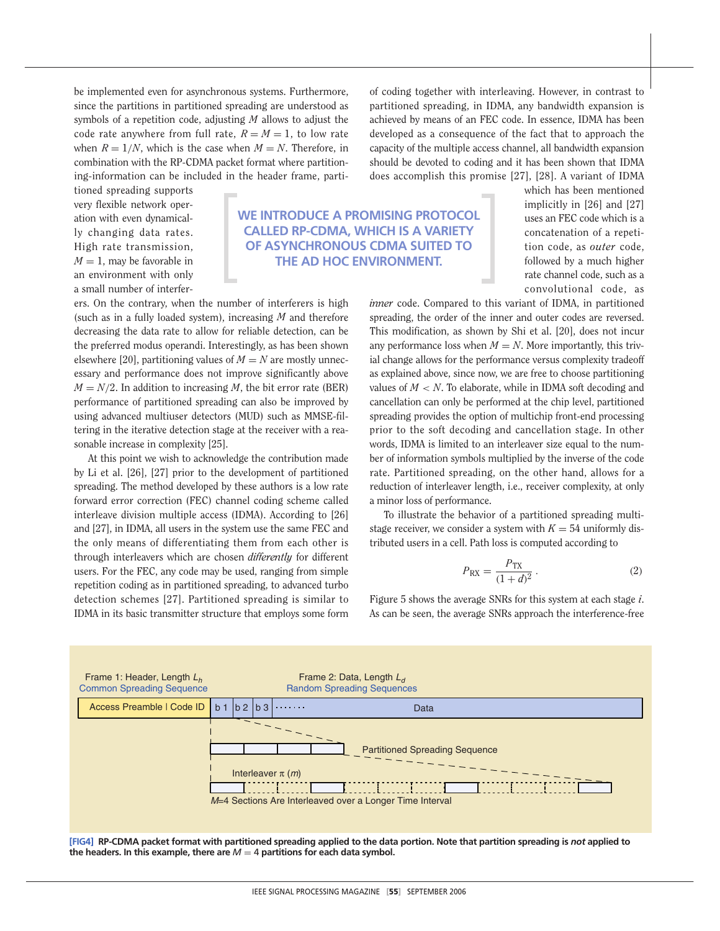be implemented even for asynchronous systems. Furthermore, since the partitions in partitioned spreading are understood as symbols of a repetition code, adjusting *M* allows to adjust the code rate anywhere from full rate,  $R = M = 1$ , to low rate when  $R = 1/N$ , which is the case when  $M = N$ . Therefore, in combination with the RP-CDMA packet format where partitioning-information can be included in the header frame, parti-

tioned spreading supports very flexible network operation with even dynamically changing data rates. High rate transmission,  $M = 1$ , may be favorable in an environment with only a small number of interfer-

## **WE INTRODUCE A PROMISING PROTOCOL CALLED RP-CDMA, WHICH IS A VARIETY OF ASYNCHRONOUS CDMA SUITED TO THE AD HOC ENVIRONMENT.**

ers. On the contrary, when the number of interferers is high (such as in a fully loaded system), increasing *M* and therefore decreasing the data rate to allow for reliable detection, can be the preferred modus operandi. Interestingly, as has been shown elsewhere [20], partitioning values of  $M = N$  are mostly unnecessary and performance does not improve significantly above  $M = N/2$ . In addition to increasing *M*, the bit error rate (BER) performance of partitioned spreading can also be improved by using advanced multiuser detectors (MUD) such as MMSE-filtering in the iterative detection stage at the receiver with a reasonable increase in complexity [25].

At this point we wish to acknowledge the contribution made by Li et al. [26], [27] prior to the development of partitioned spreading. The method developed by these authors is a low rate forward error correction (FEC) channel coding scheme called interleave division multiple access (IDMA). According to [26] and [27], in IDMA, all users in the system use the same FEC and the only means of differentiating them from each other is through interleavers which are chosen *differently* for different users. For the FEC, any code may be used, ranging from simple repetition coding as in partitioned spreading, to advanced turbo detection schemes [27]. Partitioned spreading is similar to IDMA in its basic transmitter structure that employs some form of coding together with interleaving. However, in contrast to partitioned spreading, in IDMA, any bandwidth expansion is achieved by means of an FEC code. In essence, IDMA has been developed as a consequence of the fact that to approach the capacity of the multiple access channel, all bandwidth expansion should be devoted to coding and it has been shown that IDMA does accomplish this promise [27], [28]. A variant of IDMA

> which has been mentioned implicitly in [26] and [27] uses an FEC code which is a concatenation of a repetition code, as *outer* code, followed by a much higher rate channel code, such as a convolutional code, as

*inner* code. Compared to this variant of IDMA, in partitioned spreading, the order of the inner and outer codes are reversed. This modification, as shown by Shi et al. [20], does not incur any performance loss when  $M = N$ . More importantly, this trivial change allows for the performance versus complexity tradeoff as explained above, since now, we are free to choose partitioning values of  $M < N$ . To elaborate, while in IDMA soft decoding and cancellation can only be performed at the chip level, partitioned spreading provides the option of multichip front-end processing prior to the soft decoding and cancellation stage. In other words, IDMA is limited to an interleaver size equal to the number of information symbols multiplied by the inverse of the code rate. Partitioned spreading, on the other hand, allows for a reduction of interleaver length, i.e., receiver complexity, at only a minor loss of performance.

To illustrate the behavior of a partitioned spreading multistage receiver, we consider a system with  $K = 54$  uniformly distributed users in a cell. Path loss is computed according to

$$
P_{\rm RX} = \frac{P_{\rm TX}}{(1+d)^2} \,. \tag{2}
$$

Figure 5 shows the average SNRs for this system at each stage *i*. As can be seen, the average SNRs approach the interference-free



the headers. In this example, there are  $M = 4$  partitions for each data symbol.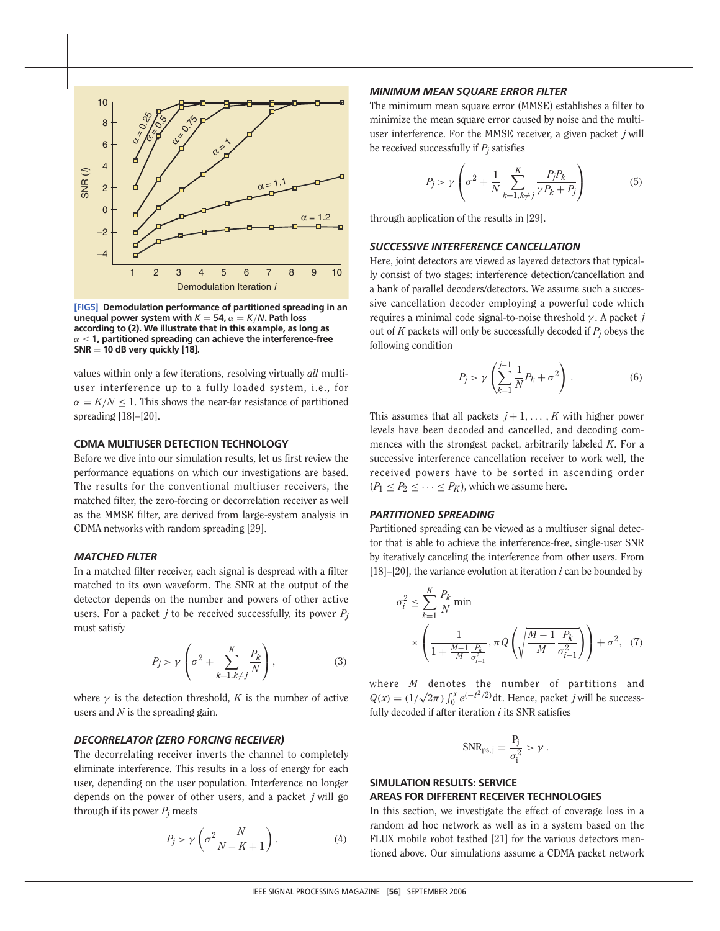

**[FIG5] Demodulation performance of partitioned spreading in an unequal power system with**  $K = 54$ ,  $\alpha = K/N$ **. Path loss according to (2). We illustrate that in this example, as long as** α ≤ 1**, partitioned spreading can achieve the interference-free SNR** = **10 dB very quickly [18].**

values within only a few iterations, resolving virtually *all* multiuser interference up to a fully loaded system, i.e., for  $\alpha = K/N \leq 1$ . This shows the near-far resistance of partitioned spreading [18]–[20].

## **CDMA MULTIUSER DETECTION TECHNOLOGY**

Before we dive into our simulation results, let us first review the performance equations on which our investigations are based. The results for the conventional multiuser receivers, the matched filter, the zero-forcing or decorrelation receiver as well as the MMSE filter, are derived from large-system analysis in CDMA networks with random spreading [29].

## *MATCHED FILTER*

In a matched filter receiver, each signal is despread with a filter matched to its own waveform. The SNR at the output of the detector depends on the number and powers of other active users. For a packet  $j$  to be received successfully, its power  $P_j$ must satisfy

$$
P_j > \gamma \left( \sigma^2 + \sum_{k=1, k \neq j}^K \frac{P_k}{N} \right),\tag{3}
$$

where  $\gamma$  is the detection threshold, *K* is the number of active users and *N* is the spreading gain.

## *DECORRELATOR (ZERO FORCING RECEIVER)*

The decorrelating receiver inverts the channel to completely eliminate interference. This results in a loss of energy for each user, depending on the user population. Interference no longer depends on the power of other users, and a packet *j* will go through if its power  $P_i$  meets

$$
P_j > \gamma \left(\sigma^2 \frac{N}{N - K + 1}\right). \tag{4}
$$

#### *MINIMUM MEAN SQUARE ERROR FILTER*

The minimum mean square error (MMSE) establishes a filter to minimize the mean square error caused by noise and the multiuser interference. For the MMSE receiver, a given packet *j* will be received successfully if *Pj* satisfies

$$
P_j > \gamma \left(\sigma^2 + \frac{1}{N} \sum_{k=1, k \neq j}^{K} \frac{P_j P_k}{\gamma P_k + P_j}\right)
$$
(5)

through application of the results in [29].

## *SUCCESSIVE INTERFERENCE CANCELLATION*

Here, joint detectors are viewed as layered detectors that typically consist of two stages: interference detection/cancellation and a bank of parallel decoders/detectors. We assume such a successive cancellation decoder employing a powerful code which requires a minimal code signal-to-noise threshold γ . A packet *j* out of *K* packets will only be successfully decoded if *Pj* obeys the following condition

$$
P_j > \gamma \left( \sum_{k=1}^{j-1} \frac{1}{N} P_k + \sigma^2 \right) \,. \tag{6}
$$

This assumes that all packets  $j+1, \ldots, K$  with higher power levels have been decoded and cancelled, and decoding commences with the strongest packet, arbitrarily labeled *K*. For a successive interference cancellation receiver to work well, the received powers have to be sorted in ascending order  $(P_1 < P_2 < \cdots < P_K)$ , which we assume here.

## *PARTITIONED SPREADING*

Partitioned spreading can be viewed as a multiuser signal detector that is able to achieve the interference-free, single-user SNR by iteratively canceling the interference from other users. From [18]–[20], the variance evolution at iteration  $i$  can be bounded by

$$
\sigma_i^2 \le \sum_{k=1}^K \frac{P_k}{N} \min \times \left( \frac{1}{1 + \frac{M-1}{M} \frac{P_k}{\sigma_{i-1}^2}}, \pi Q \left( \sqrt{\frac{M-1}{M} \frac{P_k}{\sigma_{i-1}^2}} \right) \right) + \sigma^2, \quad (7)
$$

where *M* denotes the number of partitions and  $Q(x) = (1/\sqrt{2\pi}) \int_0^x e^{(-t^2/2)} dt$ . Hence, packet *j* will be successfully decoded if after iteration *i* its SNR satisfies

$$
SNR_{ps,j} = \frac{P_j}{\sigma_i^2} > \gamma.
$$

## **SIMULATION RESULTS: SERVICE AREAS FOR DIFFERENT RECEIVER TECHNOLOGIES**

In this section, we investigate the effect of coverage loss in a random ad hoc network as well as in a system based on the FLUX mobile robot testbed [21] for the various detectors mentioned above. Our simulations assume a CDMA packet network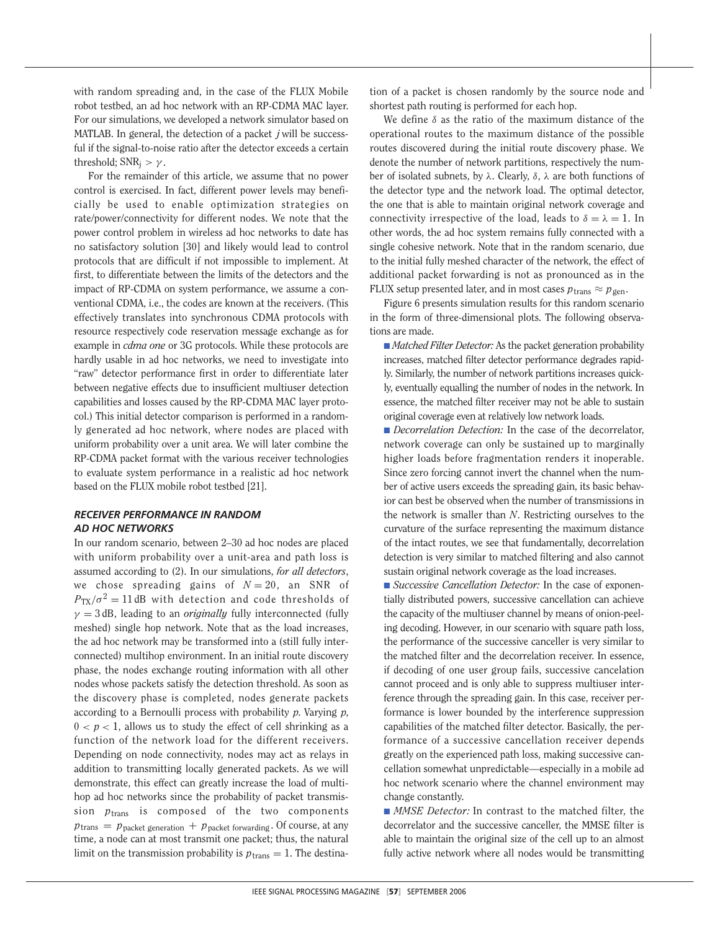with random spreading and, in the case of the FLUX Mobile robot testbed, an ad hoc network with an RP-CDMA MAC layer. For our simulations, we developed a network simulator based on MATLAB. In general, the detection of a packet *j* will be successful if the signal-to-noise ratio after the detector exceeds a certain threshold;  $SNR_i > \gamma$ .

For the remainder of this article, we assume that no power control is exercised. In fact, different power levels may beneficially be used to enable optimization strategies on rate/power/connectivity for different nodes. We note that the power control problem in wireless ad hoc networks to date has no satisfactory solution [30] and likely would lead to control protocols that are difficult if not impossible to implement. At first, to differentiate between the limits of the detectors and the impact of RP-CDMA on system performance, we assume a conventional CDMA, i.e., the codes are known at the receivers. (This effectively translates into synchronous CDMA protocols with resource respectively code reservation message exchange as for example in *cdma one* or 3G protocols. While these protocols are hardly usable in ad hoc networks, we need to investigate into "raw" detector performance first in order to differentiate later between negative effects due to insufficient multiuser detection capabilities and losses caused by the RP-CDMA MAC layer protocol.) This initial detector comparison is performed in a randomly generated ad hoc network, where nodes are placed with uniform probability over a unit area. We will later combine the RP-CDMA packet format with the various receiver technologies to evaluate system performance in a realistic ad hoc network based on the FLUX mobile robot testbed [21].

## *RECEIVER PERFORMANCE IN RANDOM AD HOC NETWORKS*

In our random scenario, between 2–30 ad hoc nodes are placed with uniform probability over a unit-area and path loss is assumed according to (2). In our simulations, *for all detectors*, we chose spreading gains of  $N = 20$ , an SNR of  $P_{\text{TX}}/\sigma^2 = 11$  dB with detection and code thresholds of  $\gamma = 3$  dB, leading to an *originally* fully interconnected (fully meshed) single hop network. Note that as the load increases, the ad hoc network may be transformed into a (still fully interconnected) multihop environment. In an initial route discovery phase, the nodes exchange routing information with all other nodes whose packets satisfy the detection threshold. As soon as the discovery phase is completed, nodes generate packets according to a Bernoulli process with probability *p*. Varying *p*,  $0 < p < 1$ , allows us to study the effect of cell shrinking as a function of the network load for the different receivers. Depending on node connectivity, nodes may act as relays in addition to transmitting locally generated packets. As we will demonstrate, this effect can greatly increase the load of multihop ad hoc networks since the probability of packet transmission *p*trans is composed of the two components  $p_{trans} = p_{packet}$  generation  $+ p_{packet}$  forwarding . Of course, at any time, a node can at most transmit one packet; thus, the natural limit on the transmission probability is  $p_{trans} = 1$ . The destination of a packet is chosen randomly by the source node and shortest path routing is performed for each hop.

We define  $\delta$  as the ratio of the maximum distance of the operational routes to the maximum distance of the possible routes discovered during the initial route discovery phase. We denote the number of network partitions, respectively the number of isolated subnets, by λ. Clearly, δ, λ are both functions of the detector type and the network load. The optimal detector, the one that is able to maintain original network coverage and connectivity irrespective of the load, leads to  $\delta = \lambda = 1$ . In other words, the ad hoc system remains fully connected with a single cohesive network. Note that in the random scenario, due to the initial fully meshed character of the network, the effect of additional packet forwarding is not as pronounced as in the FLUX setup presented later, and in most cases  $p_{trans} \approx p_{gen}$ .

Figure 6 presents simulation results for this random scenario in the form of three-dimensional plots. The following observations are made.

■ *Matched Filter Detector:* As the packet generation probability increases, matched filter detector performance degrades rapidly. Similarly, the number of network partitions increases quickly, eventually equalling the number of nodes in the network. In essence, the matched filter receiver may not be able to sustain original coverage even at relatively low network loads.

■ *Decorrelation Detection:* In the case of the decorrelator, network coverage can only be sustained up to marginally higher loads before fragmentation renders it inoperable. Since zero forcing cannot invert the channel when the number of active users exceeds the spreading gain, its basic behavior can best be observed when the number of transmissions in the network is smaller than *N*. Restricting ourselves to the curvature of the surface representing the maximum distance of the intact routes, we see that fundamentally, decorrelation detection is very similar to matched filtering and also cannot sustain original network coverage as the load increases.

■ *Successive Cancellation Detector:* In the case of exponentially distributed powers, successive cancellation can achieve the capacity of the multiuser channel by means of onion-peeling decoding. However, in our scenario with square path loss, the performance of the successive canceller is very similar to the matched filter and the decorrelation receiver. In essence, if decoding of one user group fails, successive cancelation cannot proceed and is only able to suppress multiuser interference through the spreading gain. In this case, receiver performance is lower bounded by the interference suppression capabilities of the matched filter detector. Basically, the performance of a successive cancellation receiver depends greatly on the experienced path loss, making successive cancellation somewhat unpredictable—especially in a mobile ad hoc network scenario where the channel environment may change constantly.

■ *MMSE Detector:* In contrast to the matched filter, the decorrelator and the successive canceller, the MMSE filter is able to maintain the original size of the cell up to an almost fully active network where all nodes would be transmitting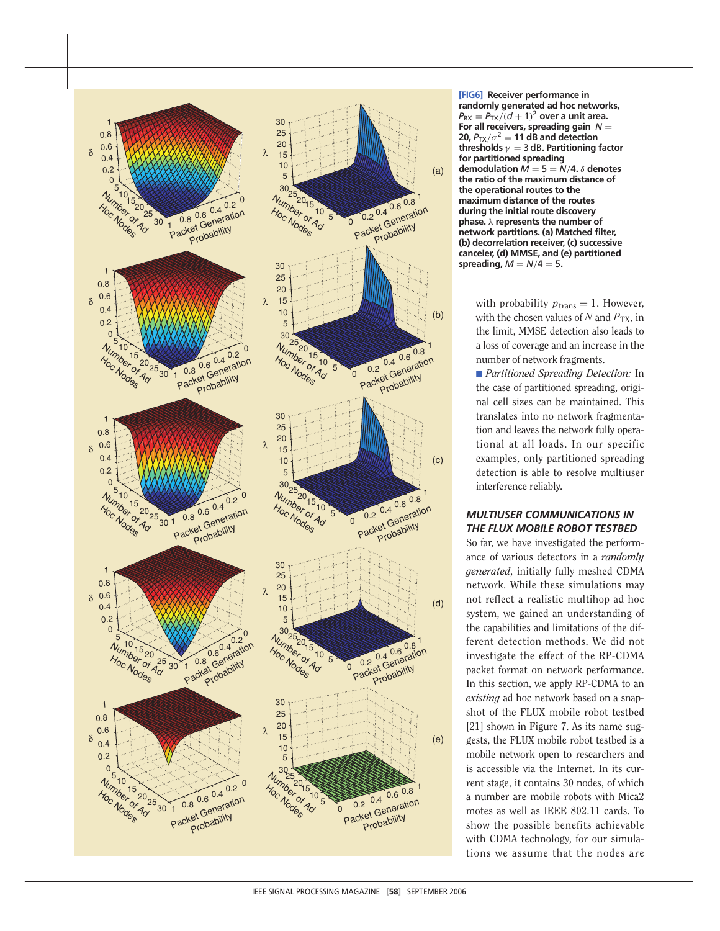

**[FIG6] Receiver performance in randomly generated ad hoc networks,**  $P_{\text{RX}} = P_{\text{TX}}/(d+1)^2$  over a unit area. **For all receivers, spreading gain** *N* = **20,**  $P_{TX}/\sigma^2 = 11$  **dB and detection thresholds** γ = 3 dB**. Partitioning factor for partitioned spreading demodulation**  $\vec{M} = 5 = \vec{N}/4$ .  $\delta$  **denotes the ratio of the maximum distance of the operational routes to the maximum distance of the routes during the initial route discovery phase.** λ **represents the number of network partitions. (a) Matched filter, (b) decorrelation receiver, (c) successive canceler, (d) MMSE, and (e) partitioned spreading,**  $M = N/4 = 5$ .

> with probability  $p_{trans} = 1$ . However, with the chosen values of  $N$  and  $P_{TX}$ , in the limit, MMSE detection also leads to a loss of coverage and an increase in the number of network fragments.

> ■ *Partitioned Spreading Detection:* In the case of partitioned spreading, original cell sizes can be maintained. This translates into no network fragmentation and leaves the network fully operational at all loads. In our specific examples, only partitioned spreading detection is able to resolve multiuser interference reliably.

## *MULTIUSER COMMUNICATIONS IN THE FLUX MOBILE ROBOT TESTBED*

So far, we have investigated the performance of various detectors in a *randomly generated*, initially fully meshed CDMA network. While these simulations may not reflect a realistic multihop ad hoc system, we gained an understanding of the capabilities and limitations of the different detection methods. We did not investigate the effect of the RP-CDMA packet format on network performance. In this section, we apply RP-CDMA to an *existing* ad hoc network based on a snapshot of the FLUX mobile robot testbed [21] shown in Figure 7. As its name suggests, the FLUX mobile robot testbed is a mobile network open to researchers and is accessible via the Internet. In its current stage, it contains 30 nodes, of which a number are mobile robots with Mica2 motes as well as IEEE 802.11 cards. To show the possible benefits achievable with CDMA technology, for our simulations we assume that the nodes are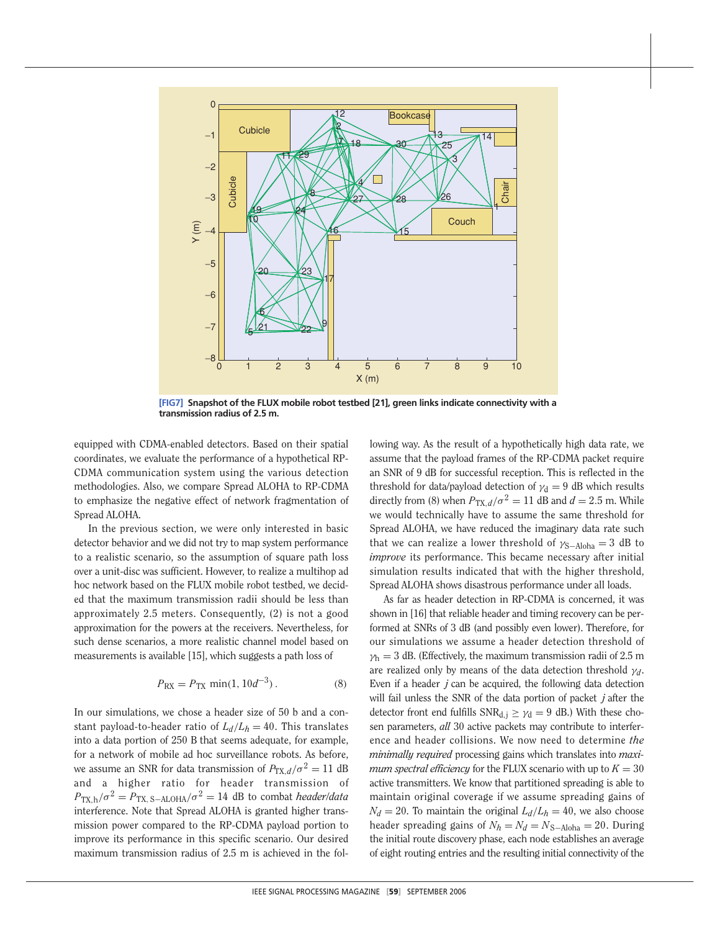

**[FIG7] Snapshot of the FLUX mobile robot testbed [21], green links indicate connectivity with a transmission radius of 2.5 m.**

equipped with CDMA-enabled detectors. Based on their spatial coordinates, we evaluate the performance of a hypothetical RP-CDMA communication system using the various detection methodologies. Also, we compare Spread ALOHA to RP-CDMA to emphasize the negative effect of network fragmentation of Spread ALOHA.

In the previous section, we were only interested in basic detector behavior and we did not try to map system performance to a realistic scenario, so the assumption of square path loss over a unit-disc was sufficient. However, to realize a multihop ad hoc network based on the FLUX mobile robot testbed, we decided that the maximum transmission radii should be less than approximately 2.5 meters. Consequently, (2) is not a good approximation for the powers at the receivers. Nevertheless, for such dense scenarios, a more realistic channel model based on measurements is available [15], which suggests a path loss of

$$
P_{\rm RX} = P_{\rm TX} \min(1, 10d^{-3}). \tag{8}
$$

In our simulations, we chose a header size of 50 b and a constant payload-to-header ratio of  $L_d/L_h = 40$ . This translates into a data portion of 250 B that seems adequate, for example, for a network of mobile ad hoc surveillance robots. As before, we assume an SNR for data transmission of  $P_{TX,d}/\sigma^2 = 11$  dB and a higher ratio for header transmission of  $P_{\text{TX},h}/\sigma^2 = P_{\text{TX},\text{S}-\text{ALOHA}}/\sigma^2 = 14$  dB to combat *header/data* interference. Note that Spread ALOHA is granted higher transmission power compared to the RP-CDMA payload portion to improve its performance in this specific scenario. Our desired maximum transmission radius of 2.5 m is achieved in the following way. As the result of a hypothetically high data rate, we assume that the payload frames of the RP-CDMA packet require an SNR of 9 dB for successful reception. This is reflected in the threshold for data/payload detection of  $\gamma_d = 9$  dB which results directly from (8) when  $P_{TX,d}/\sigma^2 = 11$  dB and  $d = 2.5$  m. While we would technically have to assume the same threshold for Spread ALOHA, we have reduced the imaginary data rate such that we can realize a lower threshold of  $\gamma_{S-Aloba} = 3$  dB to *improve* its performance. This became necessary after initial simulation results indicated that with the higher threshold, Spread ALOHA shows disastrous performance under all loads.

As far as header detection in RP-CDMA is concerned, it was shown in [16] that reliable header and timing recovery can be performed at SNRs of 3 dB (and possibly even lower). Therefore, for our simulations we assume a header detection threshold of  $\gamma_h = 3$  dB. (Effectively, the maximum transmission radii of 2.5 m are realized only by means of the data detection threshold γ*d*. Even if a header *j* can be acquired, the following data detection will fail unless the SNR of the data portion of packet *j* after the detector front end fulfills  $SNR_{d,j} \geq \gamma_d = 9$  dB.) With these chosen parameters, *all* 30 active packets may contribute to interference and header collisions. We now need to determine *the minimally required* processing gains which translates into *maximum spectral efficiency* for the FLUX scenario with up to  $K = 30$ active transmitters. We know that partitioned spreading is able to maintain original coverage if we assume spreading gains of  $N_d = 20$ . To maintain the original  $L_d/L_h = 40$ , we also choose header spreading gains of  $N_h = N_d = N_{S-Abha} = 20$ . During the initial route discovery phase, each node establishes an average of eight routing entries and the resulting initial connectivity of the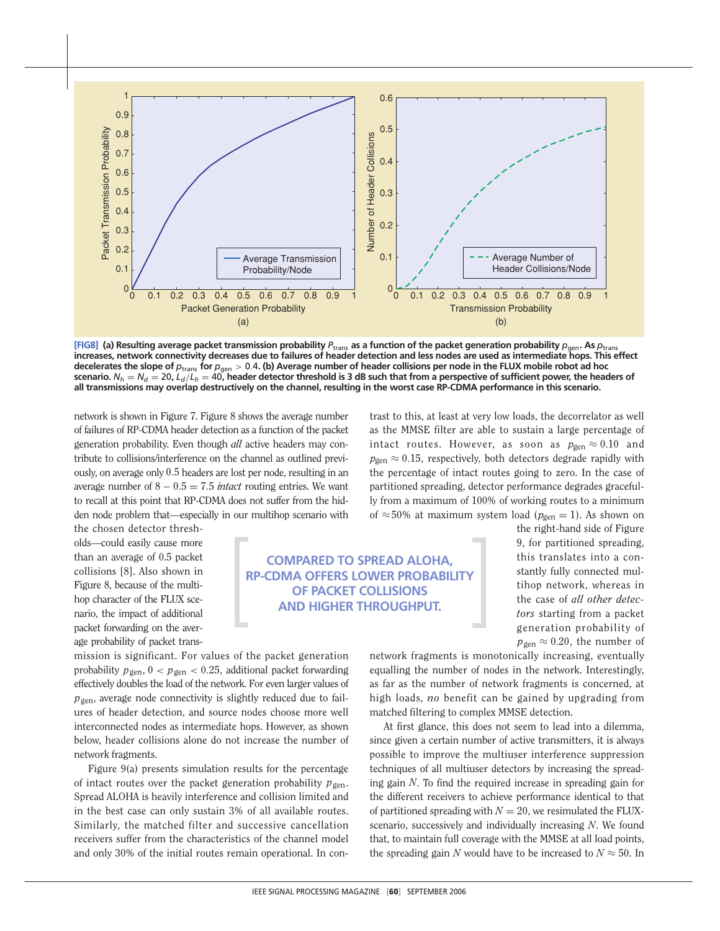

[FIG8] (a) Resulting average packet transmission probability  $P_{trans}$  as a function of the packet generation probability  $p_{gen}$ . As  $p_{trans}$ **increases, network connectivity decreases due to failures of header detection and less nodes are used as intermediate hops. This effect decelerates the slope of** *p*trans **for** *p*gen > 0.4**. (b) Average number of header collisions per node in the FLUX mobile robot ad hoc** scenario.  $N_h=N_d=20$ ,  $L_d/L_h=40$ , header detector threshold is 3 dB such that from a perspective of sufficient power, the headers of **all transmissions may overlap destructively on the channel, resulting in the worst case RP-CDMA performance in this scenario.**

network is shown in Figure 7. Figure 8 shows the average number of failures of RP-CDMA header detection as a function of the packet generation probability. Even though *all* active headers may contribute to collisions/interference on the channel as outlined previously, on average only 0.5 headers are lost per node, resulting in an average number of  $8 - 0.5 = 7.5$  *intact* routing entries. We want to recall at this point that RP-CDMA does not suffer from the hidden node problem that—especially in our multihop scenario with

the chosen detector thresholds—could easily cause more than an average of 0.5 packet collisions [8]. Also shown in Figure 8, because of the multihop character of the FLUX scenario, the impact of additional packet forwarding on the average probability of packet trans-

**COMPARED TO SPREAD ALOHA, RP-CDMA OFFERS LOWER PROBABILITY OF PACKET COLLISIONS AND HIGHER THROUGHPUT.**

intact routes. However, as soon as  $p_{gen} \approx 0.10$  and  $p_{gen} \approx 0.15$ , respectively, both detectors degrade rapidly with the percentage of intact routes going to zero. In the case of partitioned spreading, detector performance degrades gracefully from a maximum of 100% of working routes to a minimum of  $\approx$  50% at maximum system load ( $p_{\text{gen}} = 1$ ). As shown on the right-hand side of Figure

trast to this, at least at very low loads, the decorrelator as well as the MMSE filter are able to sustain a large percentage of

> 9, for partitioned spreading, this translates into a constantly fully connected multihop network, whereas in the case of *all other detectors* starting from a packet generation probability of  $p_{gen} \approx 0.20$ , the number of

mission is significant. For values of the packet generation probability  $p_{\text{gen}}$ ,  $0 < p_{\text{gen}} < 0.25$ , additional packet forwarding effectively doubles the load of the network. For even larger values of *p*gen, average node connectivity is slightly reduced due to failures of header detection, and source nodes choose more well interconnected nodes as intermediate hops. However, as shown below, header collisions alone do not increase the number of network fragments.

Figure 9(a) presents simulation results for the percentage of intact routes over the packet generation probability  $p_{gen}$ . Spread ALOHA is heavily interference and collision limited and in the best case can only sustain 3% of all available routes. Similarly, the matched filter and successive cancellation receivers suffer from the characteristics of the channel model and only 30% of the initial routes remain operational. In connetwork fragments is monotonically increasing, eventually equalling the number of nodes in the network. Interestingly, as far as the number of network fragments is concerned, at high loads, *no* benefit can be gained by upgrading from matched filtering to complex MMSE detection.

At first glance, this does not seem to lead into a dilemma, since given a certain number of active transmitters, it is always possible to improve the multiuser interference suppression techniques of all multiuser detectors by increasing the spreading gain *N*. To find the required increase in spreading gain for the different receivers to achieve performance identical to that of partitioned spreading with  $N = 20$ , we resimulated the FLUXscenario, successively and individually increasing *N*. We found that, to maintain full coverage with the MMSE at all load points, the spreading gain *N* would have to be increased to  $N \approx 50$ . In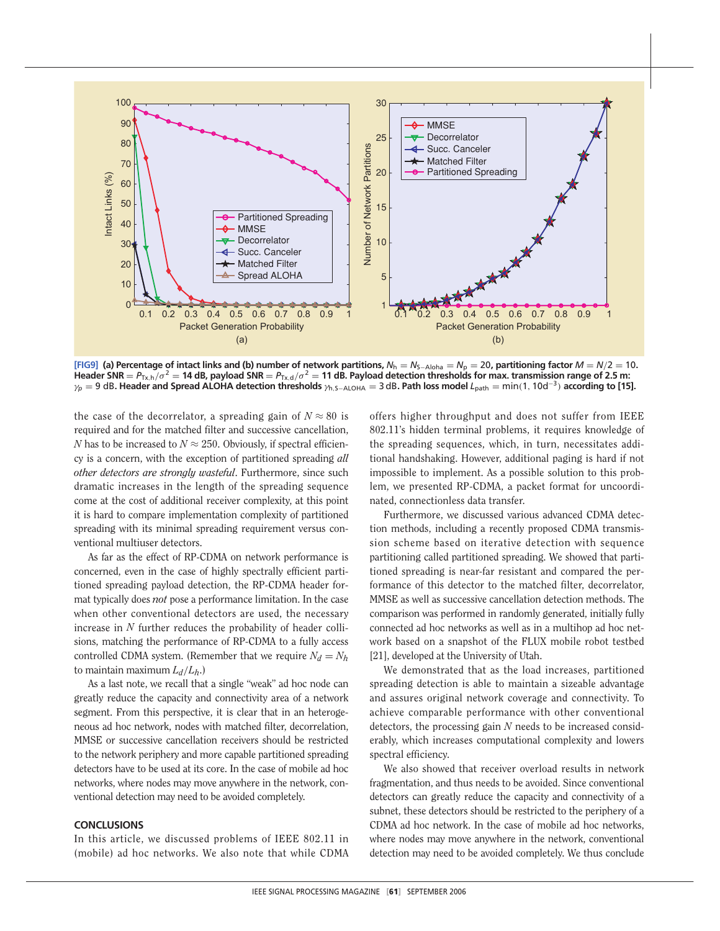

[FIG9] (a) Percentage of intact links and (b) number of network partitions,  $N_h = N_{S-Aloha} = N_p = 20$ , partitioning factor  $M = N/2 = 10$ . Header SNR =  $P_{Tx,h}/\sigma^2$  = 14 dB, payload SNR =  $P_{Tx,d}/\sigma^2$  = 11 dB. Payload detection thresholds for max. transmission range of 2.5 m: γ*<sup>p</sup>* = 9 dB**. Header and Spread ALOHA detection thresholds** γ<sup>h</sup>,S−ALOHA = 3 dB**. Path loss model** *L*path = min(1, 10d<sup>−</sup><sup>3</sup>) **according to [15].**

the case of the decorrelator, a spreading gain of  $N \approx 80$  is required and for the matched filter and successive cancellation, *N* has to be increased to  $N \approx 250$ . Obviously, if spectral efficiency is a concern, with the exception of partitioned spreading *all other detectors are strongly wasteful*. Furthermore, since such dramatic increases in the length of the spreading sequence come at the cost of additional receiver complexity, at this point it is hard to compare implementation complexity of partitioned spreading with its minimal spreading requirement versus conventional multiuser detectors.

As far as the effect of RP-CDMA on network performance is concerned, even in the case of highly spectrally efficient partitioned spreading payload detection, the RP-CDMA header format typically does *not* pose a performance limitation. In the case when other conventional detectors are used, the necessary increase in *N* further reduces the probability of header collisions, matching the performance of RP-CDMA to a fully access controlled CDMA system. (Remember that we require  $N_d = N_h$ ) to maintain maximum  $L_d/L_h$ .)

As a last note, we recall that a single "weak" ad hoc node can greatly reduce the capacity and connectivity area of a network segment. From this perspective, it is clear that in an heterogeneous ad hoc network, nodes with matched filter, decorrelation, MMSE or successive cancellation receivers should be restricted to the network periphery and more capable partitioned spreading detectors have to be used at its core. In the case of mobile ad hoc networks, where nodes may move anywhere in the network, conventional detection may need to be avoided completely.

#### **CONCLUSIONS**

In this article, we discussed problems of IEEE 802.11 in (mobile) ad hoc networks. We also note that while CDMA offers higher throughput and does not suffer from IEEE 802.11's hidden terminal problems, it requires knowledge of the spreading sequences, which, in turn, necessitates additional handshaking. However, additional paging is hard if not impossible to implement. As a possible solution to this problem, we presented RP-CDMA, a packet format for uncoordinated, connectionless data transfer.

Furthermore, we discussed various advanced CDMA detection methods, including a recently proposed CDMA transmission scheme based on iterative detection with sequence partitioning called partitioned spreading. We showed that partitioned spreading is near-far resistant and compared the performance of this detector to the matched filter, decorrelator, MMSE as well as successive cancellation detection methods. The comparison was performed in randomly generated, initially fully connected ad hoc networks as well as in a multihop ad hoc network based on a snapshot of the FLUX mobile robot testbed [21], developed at the University of Utah.

We demonstrated that as the load increases, partitioned spreading detection is able to maintain a sizeable advantage and assures original network coverage and connectivity. To achieve comparable performance with other conventional detectors, the processing gain *N* needs to be increased considerably, which increases computational complexity and lowers spectral efficiency.

We also showed that receiver overload results in network fragmentation, and thus needs to be avoided. Since conventional detectors can greatly reduce the capacity and connectivity of a subnet, these detectors should be restricted to the periphery of a CDMA ad hoc network. In the case of mobile ad hoc networks, where nodes may move anywhere in the network, conventional detection may need to be avoided completely. We thus conclude